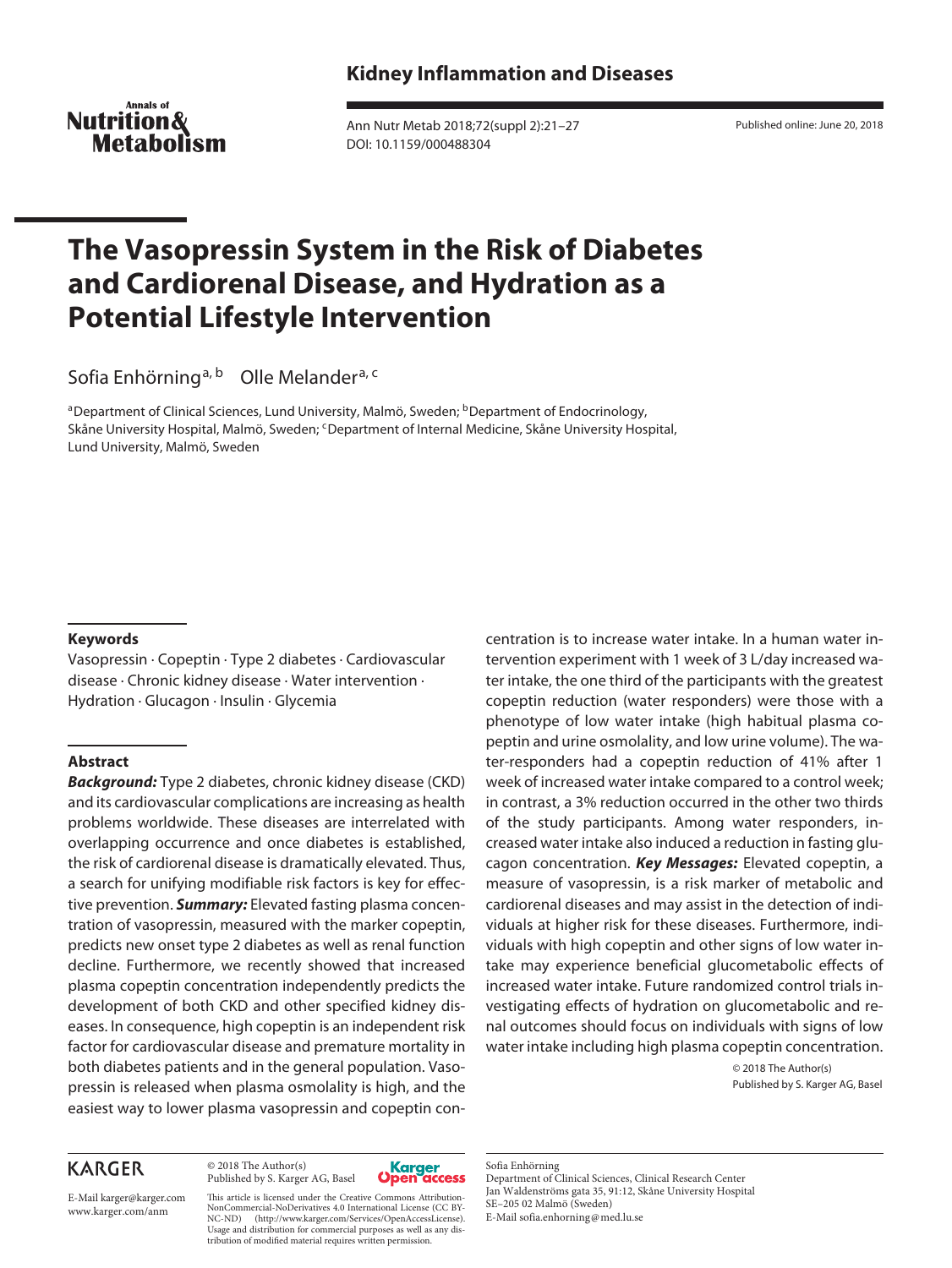**Annals of Nutrition&** Metabolism

Ann Nutr Metab 2018;72(suppl 2):21–27 DOI: 10.1159/000488304

Published online: June 20, 2018

# **The Vasopressin System in the Risk of Diabetes and Cardiorenal Disease, and Hydration as a Potential Lifestyle Intervention**

Sofia Enhörning<sup>a, b</sup> Olle Melandera, c

<sup>a</sup>Department of Clinical Sciences, Lund University, Malmö, Sweden; <sup>b</sup>Department of Endocrinology, Skåne University Hospital, Malmö, Sweden; <sup>c</sup>Department of Internal Medicine, Skåne University Hospital, Lund University, Malmö, Sweden

### **Keywords**

Vasopressin · Copeptin · Type 2 diabetes · Cardiovascular disease · Chronic kidney disease · Water intervention · Hydration · Glucagon · Insulin · Glycemia

# **Abstract**

**Background:** Type 2 diabetes, chronic kidney disease (CKD) and its cardiovascular complications are increasing as health problems worldwide. These diseases are interrelated with overlapping occurrence and once diabetes is established, the risk of cardiorenal disease is dramatically elevated. Thus, a search for unifying modifiable risk factors is key for effective prevention. **Summary:** Elevated fasting plasma concentration of vasopressin, measured with the marker copeptin, predicts new onset type 2 diabetes as well as renal function decline. Furthermore, we recently showed that increased plasma copeptin concentration independently predicts the development of both CKD and other specified kidney diseases. In consequence, high copeptin is an independent risk factor for cardiovascular disease and premature mortality in both diabetes patients and in the general population. Vasopressin is released when plasma osmolality is high, and the easiest way to lower plasma vasopressin and copeptin con-

# **KARGER**

© 2018 The Author(s) Published by S. Karger AG, Basel



E-Mail karger@karger.com www.karger.com/anm

This article is licensed under the Creative Commons Attribution-NonCommercial-NoDerivatives 4.0 International License (CC BY-NC-ND) (http://www.karger.com/Services/OpenAccessLicense). Usage and distribution for commercial purposes as well as any distribution of modified material requires written permission.

centration is to increase water intake. In a human water intervention experiment with 1 week of 3 L/day increased water intake, the one third of the participants with the greatest copeptin reduction (water responders) were those with a phenotype of low water intake (high habitual plasma copeptin and urine osmolality, and low urine volume). The water-responders had a copeptin reduction of 41% after 1 week of increased water intake compared to a control week; in contrast, a 3% reduction occurred in the other two thirds of the study participants. Among water responders, increased water intake also induced a reduction in fasting glucagon concentration. **Key Messages:** Elevated copeptin, a measure of vasopressin, is a risk marker of metabolic and cardiorenal diseases and may assist in the detection of individuals at higher risk for these diseases. Furthermore, individuals with high copeptin and other signs of low water intake may experience beneficial glucometabolic effects of increased water intake. Future randomized control trials investigating effects of hydration on glucometabolic and renal outcomes should focus on individuals with signs of low water intake including high plasma copeptin concentration.

> © 2018 The Author(s) Published by S. Karger AG, Basel

Sofia Enhörning

Department of Clinical Sciences, Clinical Research Center Jan Waldenströms gata 35, 91:12, Skåne University Hospital SE–205 02 Malmö (Sweden) E-Mail sofia.enhorning@med.lu.se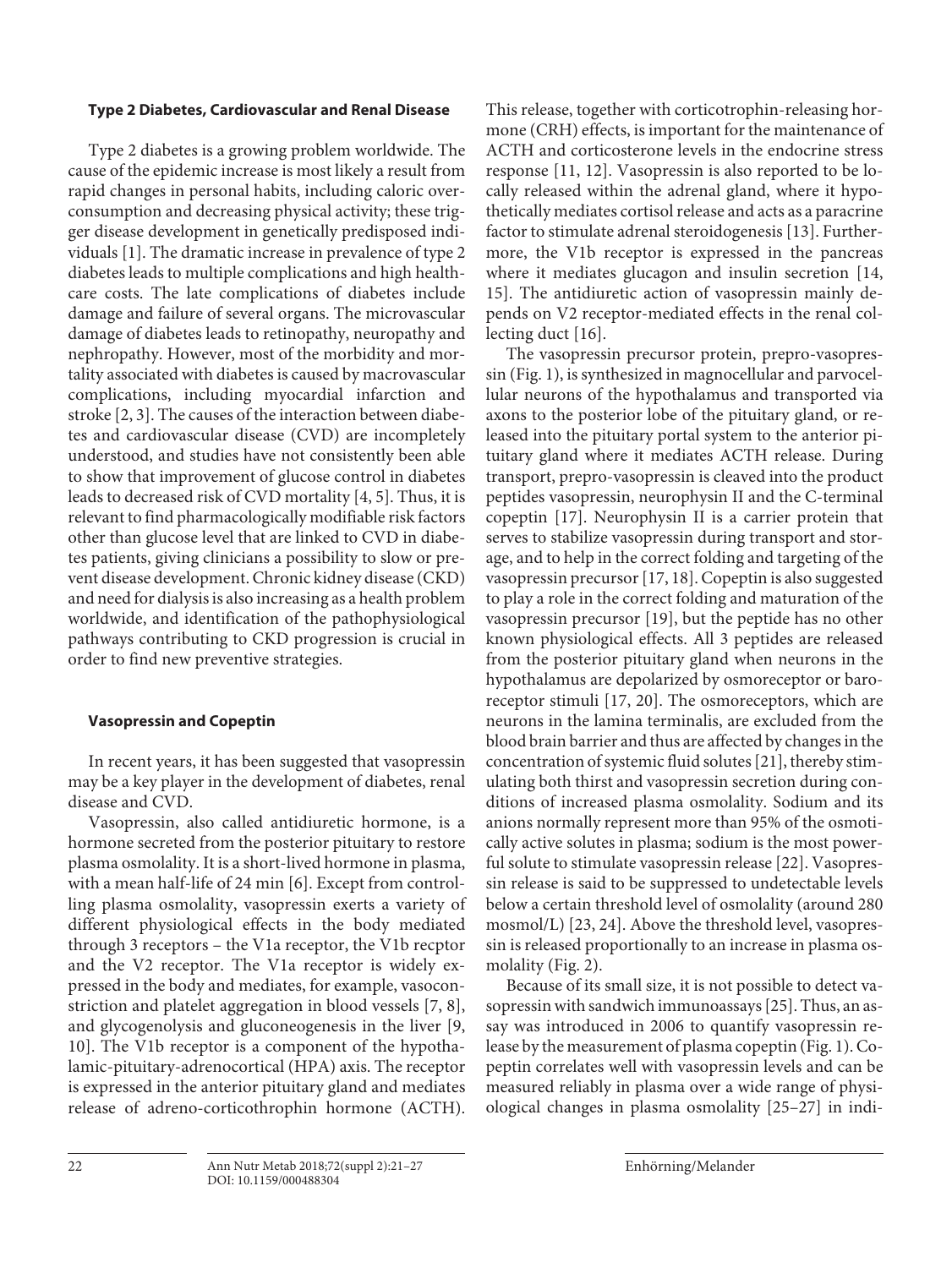#### **Type 2 Diabetes, Cardiovascular and Renal Disease**

Type 2 diabetes is a growing problem worldwide. The cause of the epidemic increase is most likely a result from rapid changes in personal habits, including caloric overconsumption and decreasing physical activity; these trigger disease development in genetically predisposed individuals [1]. The dramatic increase in prevalence of type 2 diabetes leads to multiple complications and high healthcare costs. The late complications of diabetes include damage and failure of several organs. The microvascular damage of diabetes leads to retinopathy, neuropathy and nephropathy. However, most of the morbidity and mortality associated with diabetes is caused by macrovascular complications, including myocardial infarction and stroke [2, 3]. The causes of the interaction between diabetes and cardiovascular disease (CVD) are incompletely understood, and studies have not consistently been able to show that improvement of glucose control in diabetes leads to decreased risk of CVD mortality [4, 5]. Thus, it is relevant to find pharmacologically modifiable risk factors other than glucose level that are linked to CVD in diabetes patients, giving clinicians a possibility to slow or prevent disease development. Chronic kidney disease (CKD) and need for dialysis is also increasing as a health problem worldwide, and identification of the pathophysiological pathways contributing to CKD progression is crucial in order to find new preventive strategies.

#### **Vasopressin and Copeptin**

In recent years, it has been suggested that vasopressin may be a key player in the development of diabetes, renal disease and CVD.

Vasopressin, also called antidiuretic hormone, is a hormone secreted from the posterior pituitary to restore plasma osmolality. It is a short-lived hormone in plasma, with a mean half-life of 24 min [6]. Except from controlling plasma osmolality, vasopressin exerts a variety of different physiological effects in the body mediated through 3 receptors – the V1a receptor, the V1b recptor and the V2 receptor. The V1a receptor is widely expressed in the body and mediates, for example, vasoconstriction and platelet aggregation in blood vessels [7, 8], and glycogenolysis and gluconeogenesis in the liver [9, 10]. The V1b receptor is a component of the hypothalamic-pituitary-adrenocortical (HPA) axis. The receptor is expressed in the anterior pituitary gland and mediates release of adreno-corticothrophin hormone (ACTH).

This release, together with corticotrophin-releasing hormone (CRH) effects, is important for the maintenance of ACTH and corticosterone levels in the endocrine stress response [11, 12]. Vasopressin is also reported to be locally released within the adrenal gland, where it hypothetically mediates cortisol release and acts as a paracrine factor to stimulate adrenal steroidogenesis [13]. Furthermore, the V1b receptor is expressed in the pancreas where it mediates glucagon and insulin secretion [14, 15]. The antidiuretic action of vasopressin mainly depends on V2 receptor-mediated effects in the renal collecting duct [16].

The vasopressin precursor protein, prepro-vasopressin (Fig. 1), is synthesized in magnocellular and parvocellular neurons of the hypothalamus and transported via axons to the posterior lobe of the pituitary gland, or released into the pituitary portal system to the anterior pituitary gland where it mediates ACTH release. During transport, prepro-vasopressin is cleaved into the product peptides vasopressin, neurophysin II and the C-terminal copeptin [17]. Neurophysin II is a carrier protein that serves to stabilize vasopressin during transport and storage, and to help in the correct folding and targeting of the vasopressin precursor [17, 18]. Copeptin is also suggested to play a role in the correct folding and maturation of the vasopressin precursor [19], but the peptide has no other known physiological effects. All 3 peptides are released from the posterior pituitary gland when neurons in the hypothalamus are depolarized by osmoreceptor or baroreceptor stimuli [17, 20]. The osmoreceptors, which are neurons in the lamina terminalis, are excluded from the blood brain barrier and thus are affected by changes in the concentration of systemic fluid solutes [21], thereby stimulating both thirst and vasopressin secretion during conditions of increased plasma osmolality. Sodium and its anions normally represent more than 95% of the osmotically active solutes in plasma; sodium is the most powerful solute to stimulate vasopressin release [22]. Vasopressin release is said to be suppressed to undetectable levels below a certain threshold level of osmolality (around 280 mosmol/L) [23, 24]. Above the threshold level, vasopressin is released proportionally to an increase in plasma osmolality (Fig. 2).

Because of its small size, it is not possible to detect vasopressin with sandwich immunoassays [25]. Thus, an assay was introduced in 2006 to quantify vasopressin release by the measurement of plasma copeptin (Fig. 1). Copeptin correlates well with vasopressin levels and can be measured reliably in plasma over a wide range of physiological changes in plasma osmolality [25–27] in indi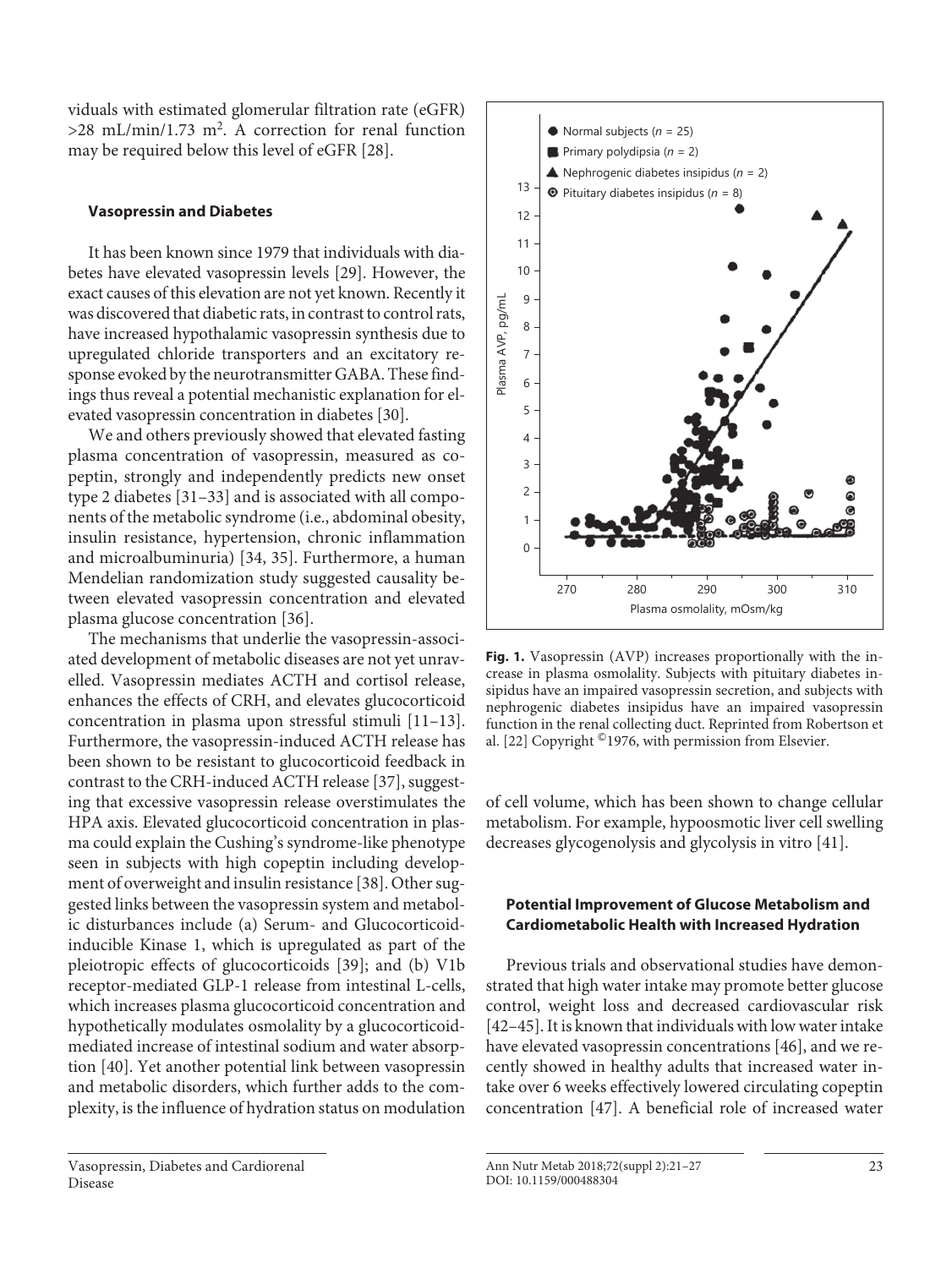viduals with estimated glomerular filtration rate (eGFR)  $>28$  mL/min/1.73 m<sup>2</sup>. A correction for renal function may be required below this level of eGFR [28].

#### **Vasopressin and Diabetes**

It has been known since 1979 that individuals with diabetes have elevated vasopressin levels [29]. However, the exact causes of this elevation are not yet known. Recently it was discovered that diabetic rats, in contrast to control rats, have increased hypothalamic vasopressin synthesis due to upregulated chloride transporters and an excitatory response evoked by the neurotransmitter GABA. These findings thus reveal a potential mechanistic explanation for elevated vasopressin concentration in diabetes [30].

We and others previously showed that elevated fasting plasma concentration of vasopressin, measured as copeptin, strongly and independently predicts new onset type 2 diabetes [31–33] and is associated with all components of the metabolic syndrome (i.e., abdominal obesity, insulin resistance, hypertension, chronic inflammation and microalbuminuria) [34, 35]. Furthermore, a human Mendelian randomization study suggested causality between elevated vasopressin concentration and elevated plasma glucose concentration [36].

The mechanisms that underlie the vasopressin-associated development of metabolic diseases are not yet unravelled. Vasopressin mediates ACTH and cortisol release, enhances the effects of CRH, and elevates glucocorticoid concentration in plasma upon stressful stimuli [11–13]. Furthermore, the vasopressin-induced ACTH release has been shown to be resistant to glucocorticoid feedback in contrast to the CRH-induced ACTH release [37], suggesting that excessive vasopressin release overstimulates the HPA axis. Elevated glucocorticoid concentration in plasma could explain the Cushing's syndrome-like phenotype seen in subjects with high copeptin including development of overweight and insulin resistance [38]. Other suggested links between the vasopressin system and metabolic disturbances include (a) Serum- and Glucocorticoidinducible Kinase 1, which is upregulated as part of the pleiotropic effects of glucocorticoids [39]; and (b) V1b receptor-mediated GLP-1 release from intestinal L-cells, which increases plasma glucocorticoid concentration and hypothetically modulates osmolality by a glucocorticoidmediated increase of intestinal sodium and water absorption [40]. Yet another potential link between vasopressin and metabolic disorders, which further adds to the complexity, is the influence of hydration status on modulation



**Fig. 1.** Vasopressin (AVP) increases proportionally with the increase in plasma osmolality. Subjects with pituitary diabetes insipidus have an impaired vasopressin secretion, and subjects with nephrogenic diabetes insipidus have an impaired vasopressin function in the renal collecting duct. Reprinted from Robertson et al. [22] Copyright ©1976, with permission from Elsevier.

of cell volume, which has been shown to change cellular metabolism. For example, hypoosmotic liver cell swelling decreases glycogenolysis and glycolysis in vitro [41].

## **Potential Improvement of Glucose Metabolism and Cardiometabolic Health with Increased Hydration**

Previous trials and observational studies have demonstrated that high water intake may promote better glucose control, weight loss and decreased cardiovascular risk [42–45]. It is known that individuals with low water intake have elevated vasopressin concentrations [46], and we recently showed in healthy adults that increased water intake over 6 weeks effectively lowered circulating copeptin concentration [47]. A beneficial role of increased water

Vasopressin, Diabetes and Cardiorenal Disease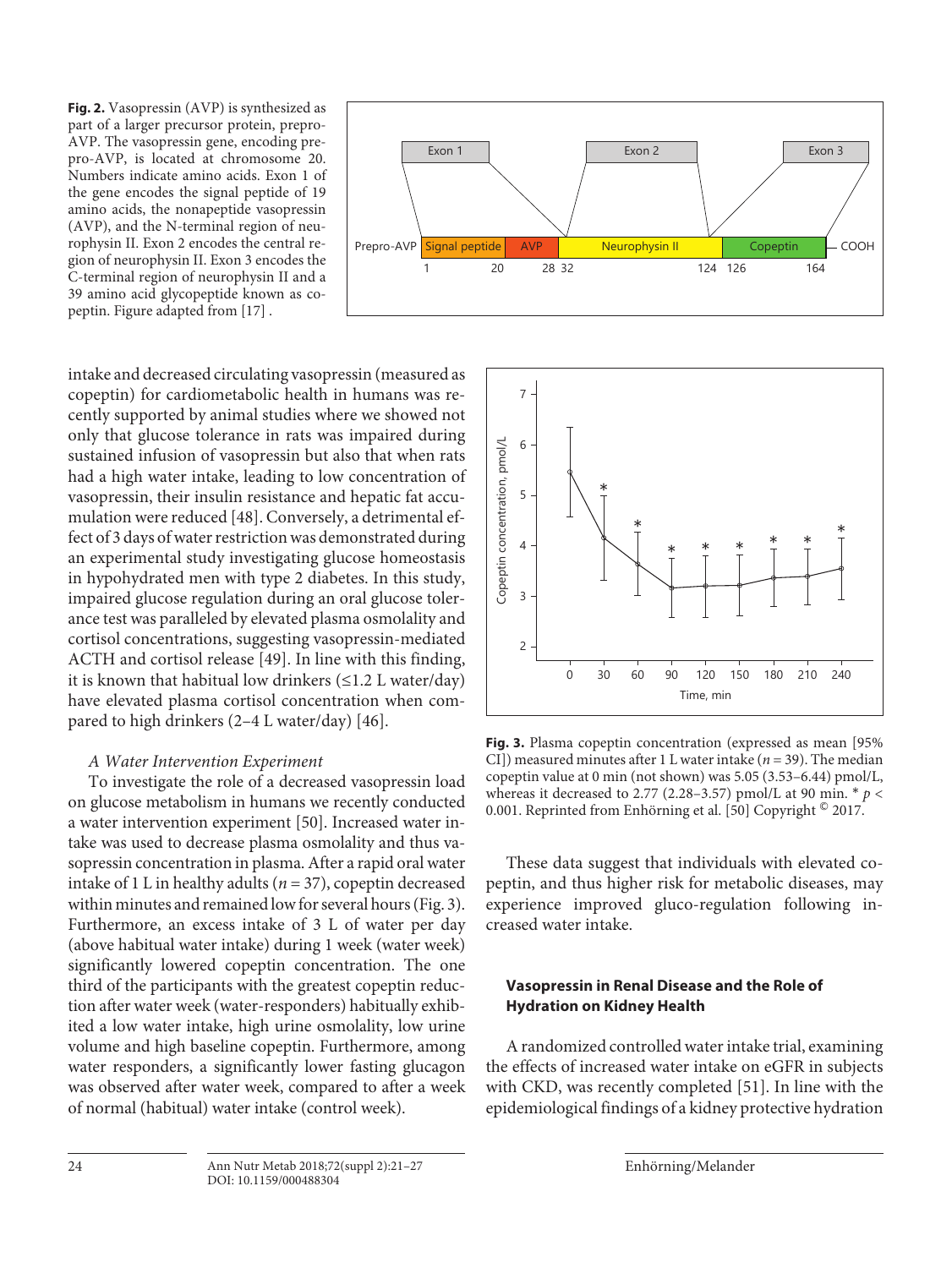**Fig. 2.** Vasopressin (AVP) is synthesized as part of a larger precursor protein, prepro-AVP. The vasopressin gene, encoding prepro-AVP, is located at chromosome 20. Numbers indicate amino acids. Exon 1 of the gene encodes the signal peptide of 19 amino acids, the nonapeptide vasopressin (AVP), and the N-terminal region of neurophysin II. Exon 2 encodes the central region of neurophysin II. Exon 3 encodes the C-terminal region of neurophysin II and a 39 amino acid glycopeptide known as copeptin. Figure adapted from [17] .



intake and decreased circulating vasopressin (measured as copeptin) for cardiometabolic health in humans was recently supported by animal studies where we showed not only that glucose tolerance in rats was impaired during sustained infusion of vasopressin but also that when rats had a high water intake, leading to low concentration of vasopressin, their insulin resistance and hepatic fat accumulation were reduced [48]. Conversely, a detrimental effect of 3 days of water restriction was demonstrated during an experimental study investigating glucose homeostasis in hypohydrated men with type 2 diabetes. In this study, impaired glucose regulation during an oral glucose tolerance test was paralleled by elevated plasma osmolality and cortisol concentrations, suggesting vasopressin-mediated ACTH and cortisol release [49]. In line with this finding, it is known that habitual low drinkers  $(\leq 1.2$  L water/day) have elevated plasma cortisol concentration when compared to high drinkers (2–4 L water/day) [46].

# A Water Intervention Experiment

To investigate the role of a decreased vasopressin load on glucose metabolism in humans we recently conducted a water intervention experiment [50]. Increased water intake was used to decrease plasma osmolality and thus vasopressin concentration in plasma. After a rapid oral water intake of 1 L in healthy adults ( $n = 37$ ), copeptin decreased within minutes and remained low for several hours (Fig. 3). Furthermore, an excess intake of 3 L of water per day (above habitual water intake) during 1 week (water week) significantly lowered copeptin concentration. The one third of the participants with the greatest copeptin reduction after water week (water-responders) habitually exhibited a low water intake, high urine osmolality, low urine volume and high baseline copeptin. Furthermore, among water responders, a significantly lower fasting glucagon was observed after water week, compared to after a week of normal (habitual) water intake (control week).



**Fig. 3.** Plasma copeptin concentration (expressed as mean [95% CI]) measured minutes after 1 L water intake ( $n = 39$ ). The median copeptin value at 0 min (not shown) was 5.05 (3.53–6.44) pmol/L, whereas it decreased to 2.77 (2.28–3.57) pmol/L at 90 min.  $* p <$ 0.001. Reprinted from Enhörning et al. [50] Copyright © 2017.

These data suggest that individuals with elevated copeptin, and thus higher risk for metabolic diseases, may experience improved gluco-regulation following increased water intake.

# **Vasopressin in Renal Disease and the Role of Hydration on Kidney Health**

A randomized controlled water intake trial, examining the effects of increased water intake on eGFR in subjects with CKD, was recently completed [51]. In line with the epidemiological findings of a kidney protective hydration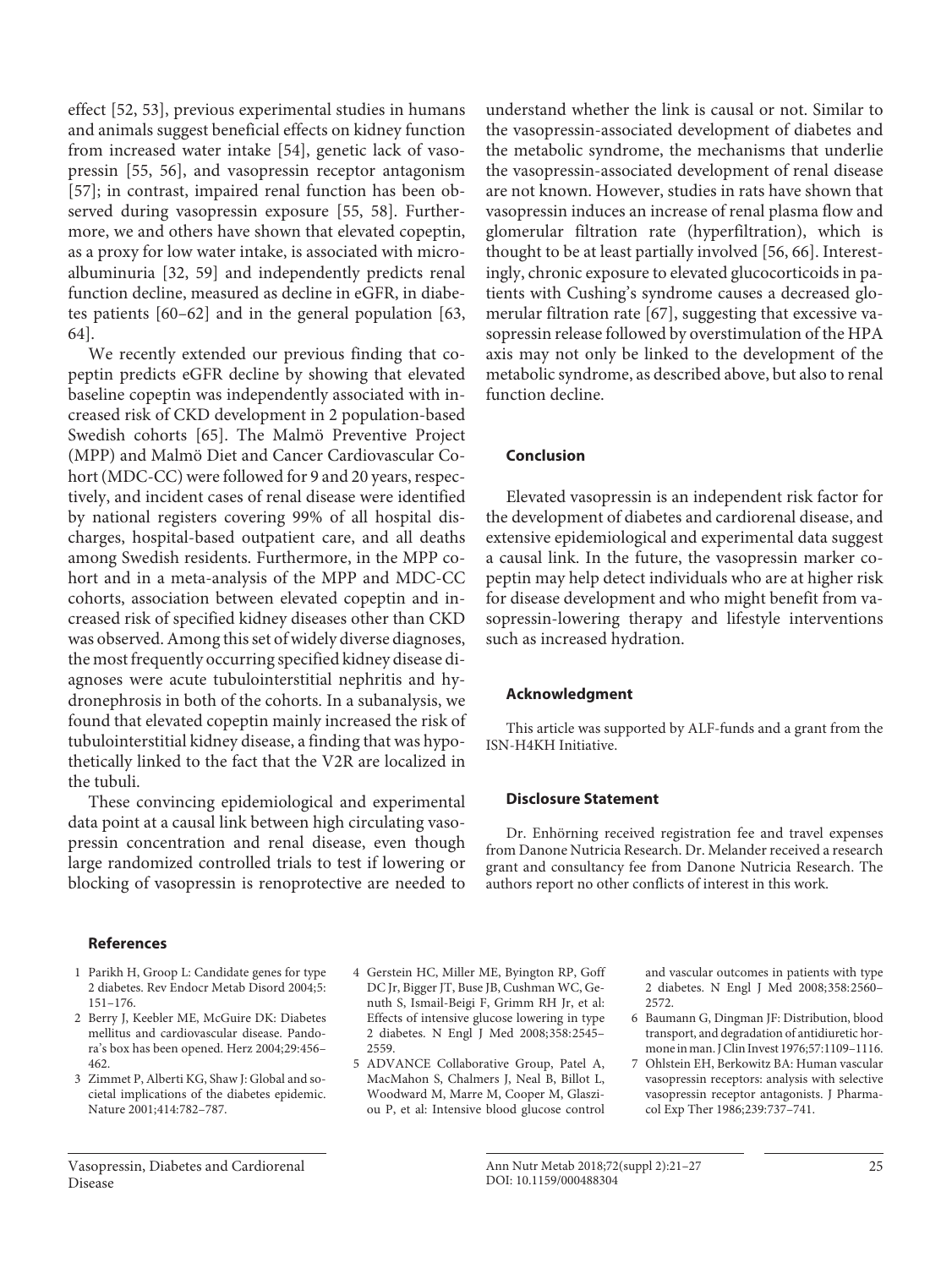effect [52, 53], previous experimental studies in humans and animals suggest beneficial effects on kidney function from increased water intake [54], genetic lack of vasopressin [55, 56], and vasopressin receptor antagonism [57]; in contrast, impaired renal function has been observed during vasopressin exposure [55, 58]. Furthermore, we and others have shown that elevated copeptin, as a proxy for low water intake, is associated with microalbuminuria [32, 59] and independently predicts renal function decline, measured as decline in eGFR, in diabetes patients [60–62] and in the general population [63, 64].

We recently extended our previous finding that copeptin predicts eGFR decline by showing that elevated baseline copeptin was independently associated with increased risk of CKD development in 2 population-based Swedish cohorts [65]. The Malmö Preventive Project (MPP) and Malmö Diet and Cancer Cardiovascular Cohort (MDC-CC) were followed for 9 and 20 years, respectively, and incident cases of renal disease were identified by national registers covering 99% of all hospital discharges, hospital-based outpatient care, and all deaths among Swedish residents. Furthermore, in the MPP cohort and in a meta-analysis of the MPP and MDC-CC cohorts, association between elevated copeptin and increased risk of specified kidney diseases other than CKD was observed. Among this set of widely diverse diagnoses, the most frequently occurring specified kidney disease diagnoses were acute tubulointerstitial nephritis and hydronephrosis in both of the cohorts. In a subanalysis, we found that elevated copeptin mainly increased the risk of tubulointerstitial kidney disease, a finding that was hypothetically linked to the fact that the V2R are localized in the tubuli.

These convincing epidemiological and experimental data point at a causal link between high circulating vasopressin concentration and renal disease, even though large randomized controlled trials to test if lowering or blocking of vasopressin is renoprotective are needed to

#### **References**

- 1 Parikh H, Groop L: Candidate genes for type 2 diabetes. Rev Endocr Metab Disord 2004;5: 151–176.
- 2 Berry J, Keebler ME, McGuire DK: Diabetes mellitus and cardiovascular disease. Pandora's box has been opened. Herz 2004;29:456– 462.
- 3 Zimmet P, Alberti KG, Shaw J: Global and societal implications of the diabetes epidemic. Nature 2001;414:782–787.

understand whether the link is causal or not. Similar to the vasopressin-associated development of diabetes and the metabolic syndrome, the mechanisms that underlie the vasopressin-associated development of renal disease are not known. However, studies in rats have shown that vasopressin induces an increase of renal plasma flow and glomerular filtration rate (hyperfiltration), which is thought to be at least partially involved [56, 66]. Interestingly, chronic exposure to elevated glucocorticoids in patients with Cushing's syndrome causes a decreased glomerular filtration rate [67], suggesting that excessive vasopressin release followed by overstimulation of the HPA axis may not only be linked to the development of the metabolic syndrome, as described above, but also to renal function decline.

#### **Conclusion**

Elevated vasopressin is an independent risk factor for the development of diabetes and cardiorenal disease, and extensive epidemiological and experimental data suggest a causal link. In the future, the vasopressin marker copeptin may help detect individuals who are at higher risk for disease development and who might benefit from vasopressin-lowering therapy and lifestyle interventions such as increased hydration.

#### **Acknowledgment**

This article was supported by ALF-funds and a grant from the ISN-H4KH Initiative.

#### **Disclosure Statement**

Dr. Enhörning received registration fee and travel expenses from Danone Nutricia Research. Dr. Melander received a research grant and consultancy fee from Danone Nutricia Research. The authors report no other conflicts of interest in this work.

- 4 Gerstein HC, Miller ME, Byington RP, Goff DC Jr, Bigger JT, Buse JB, Cushman WC, Genuth S, Ismail-Beigi F, Grimm RH Jr, et al: Effects of intensive glucose lowering in type 2 diabetes. N Engl J Med 2008;358:2545– 2559.
- 5 ADVANCE Collaborative Group, Patel A, MacMahon S, Chalmers J, Neal B, Billot L, Woodward M, Marre M, Cooper M, Glasziou P, et al: Intensive blood glucose control

and vascular outcomes in patients with type 2 diabetes. N Engl J Med 2008;358:2560– 2572.

- 6 Baumann G, Dingman JF: Distribution, blood transport, and degradation of antidiuretic hormone in man. J Clin Invest 1976;57:1109–1116.
- 7 Ohlstein EH, Berkowitz BA: Human vascular vasopressin receptors: analysis with selective vasopressin receptor antagonists. J Pharmacol Exp Ther 1986;239:737–741.

Vasopressin, Diabetes and Cardiorenal Disease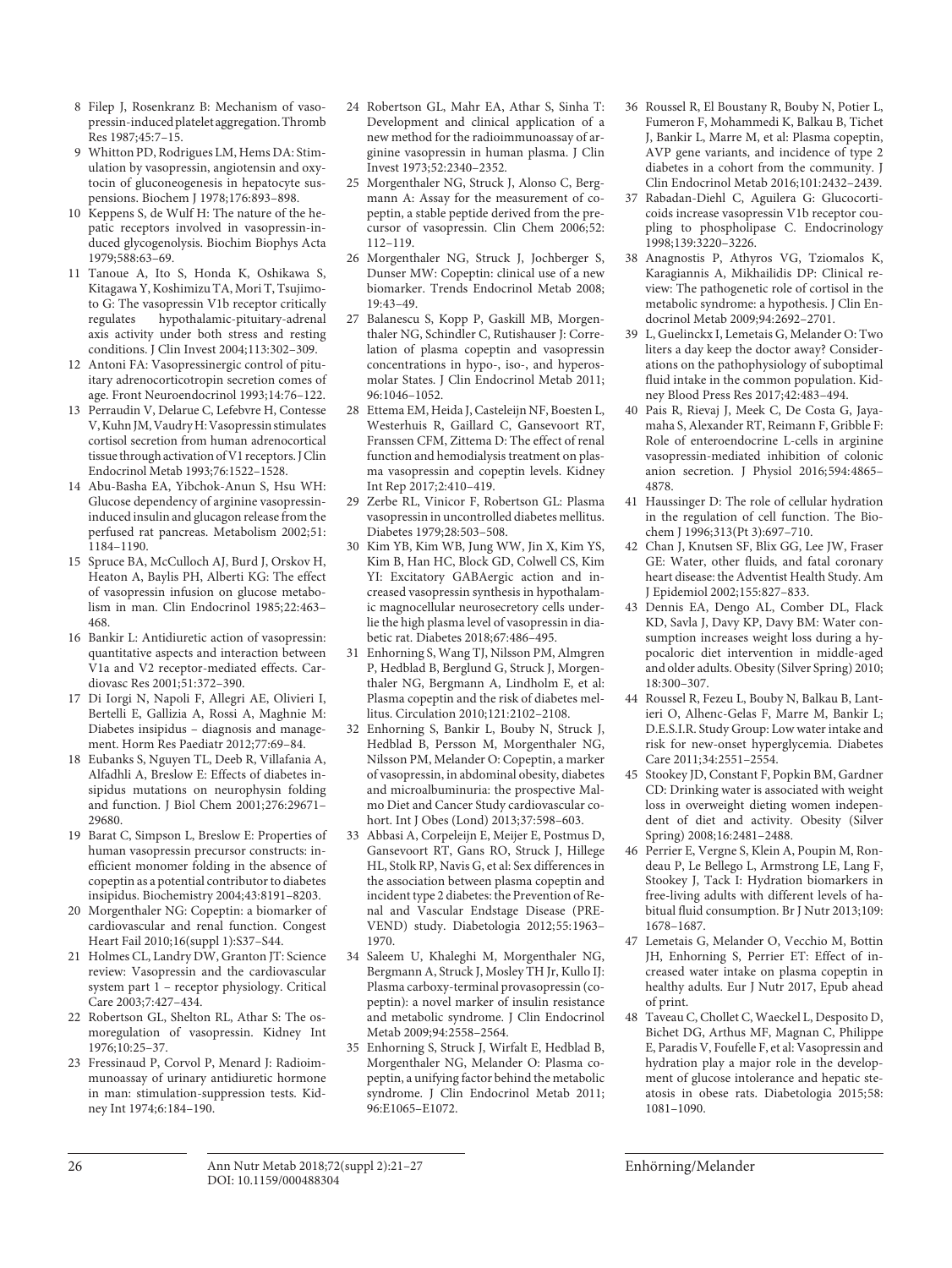- 8 Filep J, Rosenkranz B: Mechanism of vasopressin-induced platelet aggregation. Thromb Res 1987;45:7–15.
- 9 Whitton PD, Rodrigues LM, Hems DA: Stimulation by vasopressin, angiotensin and oxytocin of gluconeogenesis in hepatocyte suspensions. Biochem J 1978;176:893–898.
- 10 Keppens S, de Wulf H: The nature of the hepatic receptors involved in vasopressin-induced glycogenolysis. Biochim Biophys Acta 1979;588:63–69.
- 11 Tanoue A, Ito S, Honda K, Oshikawa S, Kitagawa Y, Koshimizu TA, Mori T, Tsujimoto G: The vasopressin V1b receptor critically regulates hypothalamic-pituitary-adrenal axis activity under both stress and resting conditions. J Clin Invest 2004;113:302–309.
- 12 Antoni FA: Vasopressinergic control of pituitary adrenocorticotropin secretion comes of age. Front Neuroendocrinol 1993;14:76–122.
- 13 Perraudin V, Delarue C, Lefebvre H, Contesse V, Kuhn JM, Vaudry H: Vasopressin stimulates cortisol secretion from human adrenocortical tissue through activation of V1 receptors. J Clin Endocrinol Metab 1993;76:1522–1528.
- 14 Abu-Basha EA, Yibchok-Anun S, Hsu WH: Glucose dependency of arginine vasopressininduced insulin and glucagon release from the perfused rat pancreas. Metabolism 2002;51: 1184–1190.
- 15 Spruce BA, McCulloch AJ, Burd J, Orskov H, Heaton A, Baylis PH, Alberti KG: The effect of vasopressin infusion on glucose metabolism in man. Clin Endocrinol 1985;22:463– 468.
- 16 Bankir L: Antidiuretic action of vasopressin: quantitative aspects and interaction between V1a and V2 receptor-mediated effects. Cardiovasc Res 2001;51:372–390.
- 17 Di Iorgi N, Napoli F, Allegri AE, Olivieri I, Bertelli E, Gallizia A, Rossi A, Maghnie M: Diabetes insipidus – diagnosis and management. Horm Res Paediatr 2012;77:69–84.
- 18 Eubanks S, Nguyen TL, Deeb R, Villafania A, Alfadhli A, Breslow E: Effects of diabetes insipidus mutations on neurophysin folding and function. J Biol Chem 2001;276:29671– 29680.
- 19 Barat C, Simpson L, Breslow E: Properties of human vasopressin precursor constructs: inefficient monomer folding in the absence of copeptin as a potential contributor to diabetes insipidus. Biochemistry 2004;43:8191–8203.
- 20 Morgenthaler NG: Copeptin: a biomarker of cardiovascular and renal function. Congest Heart Fail 2010;16(suppl 1):S37–S44.
- 21 Holmes CL, Landry DW, Granton JT: Science review: Vasopressin and the cardiovascular system part 1 – receptor physiology. Critical Care 2003;7:427–434.
- 22 Robertson GL, Shelton RL, Athar S: The osmoregulation of vasopressin. Kidney Int 1976;10:25–37.
- 23 Fressinaud P, Corvol P, Menard J: Radioimmunoassay of urinary antidiuretic hormone in man: stimulation-suppression tests. Kidney Int 1974;6:184–190.
- 24 Robertson GL, Mahr EA, Athar S, Sinha T: Development and clinical application of a new method for the radioimmunoassay of arginine vasopressin in human plasma. J Clin Invest 1973;52:2340–2352.
- 25 Morgenthaler NG, Struck J, Alonso C, Bergmann A: Assay for the measurement of copeptin, a stable peptide derived from the precursor of vasopressin. Clin Chem 2006;52: 112–119.
- 26 Morgenthaler NG, Struck J, Jochberger S, Dunser MW: Copeptin: clinical use of a new biomarker. Trends Endocrinol Metab 2008; 19:43–49.
- 27 Balanescu S, Kopp P, Gaskill MB, Morgenthaler NG, Schindler C, Rutishauser J: Correlation of plasma copeptin and vasopressin concentrations in hypo-, iso-, and hyperosmolar States. J Clin Endocrinol Metab 2011; 96:1046–1052.
- 28 Ettema EM, Heida J, Casteleijn NF, Boesten L, Westerhuis R, Gaillard C, Gansevoort RT, Franssen CFM, Zittema D: The effect of renal function and hemodialysis treatment on plasma vasopressin and copeptin levels. Kidney Int Rep 2017;2:410–419.
- 29 Zerbe RL, Vinicor F, Robertson GL: Plasma vasopressin in uncontrolled diabetes mellitus. Diabetes 1979;28:503–508.
- 30 Kim YB, Kim WB, Jung WW, Jin X, Kim YS, Kim B, Han HC, Block GD, Colwell CS, Kim YI: Excitatory GABAergic action and increased vasopressin synthesis in hypothalamic magnocellular neurosecretory cells underlie the high plasma level of vasopressin in diabetic rat. Diabetes 2018;67:486–495.
- 31 Enhorning S, Wang TJ, Nilsson PM, Almgren P, Hedblad B, Berglund G, Struck J, Morgenthaler NG, Bergmann A, Lindholm E, et al: Plasma copeptin and the risk of diabetes mellitus. Circulation 2010;121:2102–2108.
- 32 Enhorning S, Bankir L, Bouby N, Struck J, Hedblad B, Persson M, Morgenthaler NG, Nilsson PM, Melander O: Copeptin, a marker of vasopressin, in abdominal obesity, diabetes and microalbuminuria: the prospective Malmo Diet and Cancer Study cardiovascular cohort. Int J Obes (Lond) 2013;37:598–603.
- 33 Abbasi A, Corpeleijn E, Meijer E, Postmus D, Gansevoort RT, Gans RO, Struck J, Hillege HL, Stolk RP, Navis G, et al: Sex differences in the association between plasma copeptin and incident type 2 diabetes: the Prevention of Renal and Vascular Endstage Disease (PRE-VEND) study. Diabetologia 2012;55:1963– 1970.
- 34 Saleem U, Khaleghi M, Morgenthaler NG, Bergmann A, Struck J, Mosley TH Jr, Kullo IJ: Plasma carboxy-terminal provasopressin (copeptin): a novel marker of insulin resistance and metabolic syndrome. J Clin Endocrinol Metab 2009;94:2558–2564.
- 35 Enhorning S, Struck J, Wirfalt E, Hedblad B, Morgenthaler NG, Melander O: Plasma copeptin, a unifying factor behind the metabolic syndrome. J Clin Endocrinol Metab 2011; 96:E1065–E1072.
- 36 Roussel R, El Boustany R, Bouby N, Potier L, Fumeron F, Mohammedi K, Balkau B, Tichet J, Bankir L, Marre M, et al: Plasma copeptin, AVP gene variants, and incidence of type 2 diabetes in a cohort from the community. J Clin Endocrinol Metab 2016;101:2432–2439.
- 37 Rabadan-Diehl C, Aguilera G: Glucocorticoids increase vasopressin V1b receptor coupling to phospholipase C. Endocrinology 1998;139:3220–3226.
- 38 Anagnostis P, Athyros VG, Tziomalos K, Karagiannis A, Mikhailidis DP: Clinical review: The pathogenetic role of cortisol in the metabolic syndrome: a hypothesis. J Clin Endocrinol Metab 2009;94:2692–2701.
- 39 L, Guelinckx I, Lemetais G, Melander O: Two liters a day keep the doctor away? Considerations on the pathophysiology of suboptimal fluid intake in the common population. Kidney Blood Press Res 2017;42:483–494.
- 40 Pais R, Rievaj J, Meek C, De Costa G, Jayamaha S, Alexander RT, Reimann F, Gribble F: Role of enteroendocrine L-cells in arginine vasopressin-mediated inhibition of colonic anion secretion. J Physiol 2016;594:4865– 4878.
- 41 Haussinger D: The role of cellular hydration in the regulation of cell function. The Biochem J 1996;313(Pt 3):697-710.
- 42 Chan J, Knutsen SF, Blix GG, Lee JW, Fraser GE: Water, other fluids, and fatal coronary heart disease: the Adventist Health Study. Am J Epidemiol 2002;155:827–833.
- 43 Dennis EA, Dengo AL, Comber DL, Flack KD, Savla J, Davy KP, Davy BM: Water consumption increases weight loss during a hypocaloric diet intervention in middle-aged and older adults. Obesity (Silver Spring) 2010; 18:300–307.
- 44 Roussel R, Fezeu L, Bouby N, Balkau B, Lantieri O, Alhenc-Gelas F, Marre M, Bankir L; D.E.S.I.R. Study Group: Low water intake and risk for new-onset hyperglycemia. Diabetes Care 2011;34:2551–2554.
- 45 Stookey JD, Constant F, Popkin BM, Gardner CD: Drinking water is associated with weight loss in overweight dieting women independent of diet and activity. Obesity (Silver Spring) 2008;16:2481–2488.
- 46 Perrier E, Vergne S, Klein A, Poupin M, Rondeau P, Le Bellego L, Armstrong LE, Lang F, Stookey J, Tack I: Hydration biomarkers in free-living adults with different levels of habitual fluid consumption. Br J Nutr 2013;109: 1678–1687.
- 47 Lemetais G, Melander O, Vecchio M, Bottin JH, Enhorning S, Perrier ET: Effect of increased water intake on plasma copeptin in healthy adults. Eur J Nutr 2017, Epub ahead of print.
- 48 Taveau C, Chollet C, Waeckel L, Desposito D, Bichet DG, Arthus MF, Magnan C, Philippe E, Paradis V, Foufelle F, et al: Vasopressin and hydration play a major role in the development of glucose intolerance and hepatic steatosis in obese rats. Diabetologia 2015;58: 1081–1090.